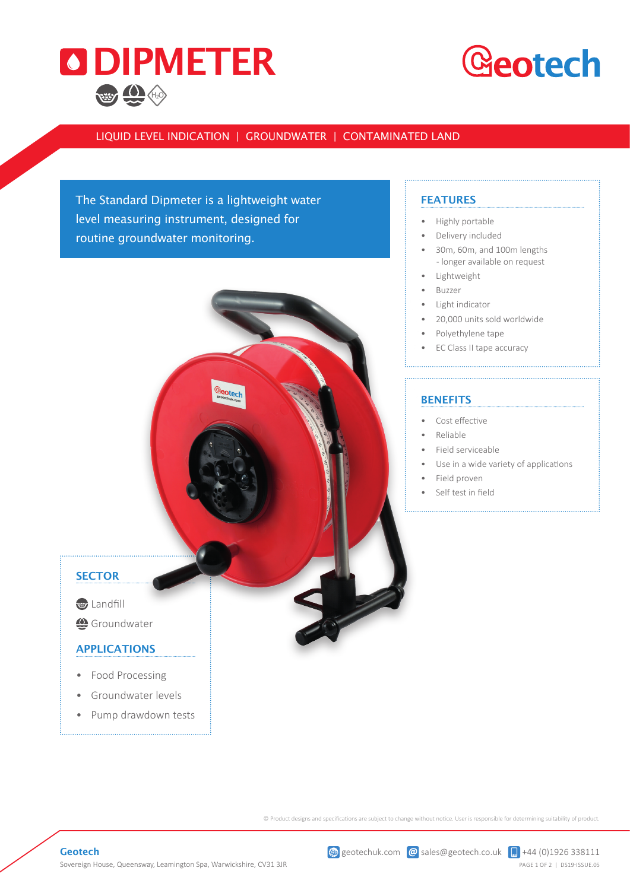

### **Geotech**

#### LIQUID LEVEL INDICATION | GROUNDWATER | CONTAMINATED LAND

The Standard Dipmeter is a lightweight water level measuring instrument, designed for routine groundwater monitoring.

#### **FEATURES**

- Highly portable
- Delivery included
- 30m, 60m, and 100m lengths - longer available on request

- **Lightweight**
- Buzzer
- Light indicator
- 20,000 units sold worldwide
- Polyethylene tape
- EC Class II tape accuracy

#### **BENEFITS**

- • Cost effective
- Reliable
- Field serviceable
- Use in a wide variety of applications
- Field proven
- Self test in field

#### **SECTOR**

**Landfill** 

Groundwater

#### APPLICATIONS

- Food Processing
- Groundwater levels
- Pump drawdown tests

© Product designs and specifications are subject to change without notice. User is responsible for determining suitability of product.